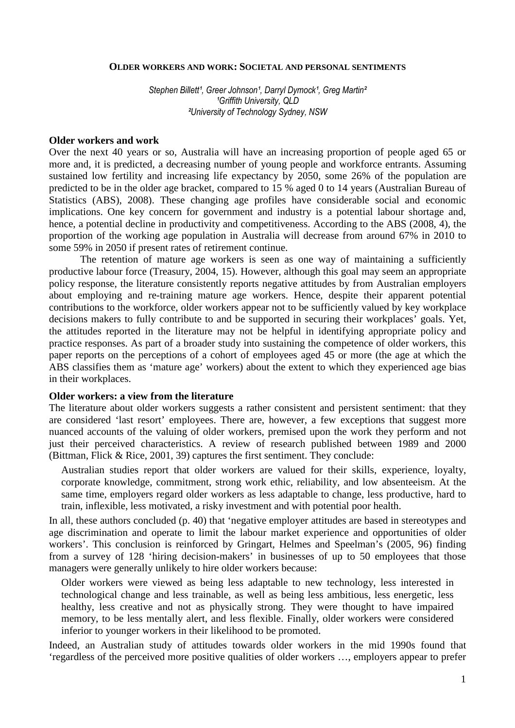#### **OLDER WORKERS AND WORK: SOCIETAL AND PERSONAL SENTIMENTS**

Stephen Billett<sup>1</sup>, Greer Johnson<sup>1</sup>, Darryl Dymock<sup>1</sup>, Greg Martin<sup>2</sup> <sup>1</sup>Griffith University, OLD ²University of Technology Sydney, NSW

#### **Older workers and work**

Over the next 40 years or so, Australia will have an increasing proportion of people aged 65 or more and, it is predicted, a decreasing number of young people and workforce entrants. Assuming sustained low fertility and increasing life expectancy by 2050, some 26% of the population are predicted to be in the older age bracket, compared to 15 % aged 0 to 14 years (Australian Bureau of Statistics (ABS), 2008). These changing age profiles have considerable social and economic implications. One key concern for government and industry is a potential labour shortage and, hence, a potential decline in productivity and competitiveness. According to the ABS (2008, 4), the proportion of the working age population in Australia will decrease from around 67% in 2010 to some 59% in 2050 if present rates of retirement continue.

The retention of mature age workers is seen as one way of maintaining a sufficiently productive labour force (Treasury, 2004, 15). However, although this goal may seem an appropriate policy response, the literature consistently reports negative attitudes by from Australian employers about employing and re-training mature age workers. Hence, despite their apparent potential contributions to the workforce, older workers appear not to be sufficiently valued by key workplace decisions makers to fully contribute to and be supported in securing their workplaces' goals. Yet, the attitudes reported in the literature may not be helpful in identifying appropriate policy and practice responses. As part of a broader study into sustaining the competence of older workers, this paper reports on the perceptions of a cohort of employees aged 45 or more (the age at which the ABS classifies them as 'mature age' workers) about the extent to which they experienced age bias in their workplaces.

### **Older workers: a view from the literature**

The literature about older workers suggests a rather consistent and persistent sentiment: that they are considered 'last resort' employees. There are, however, a few exceptions that suggest more nuanced accounts of the valuing of older workers, premised upon the work they perform and not just their perceived characteristics. A review of research published between 1989 and 2000 (Bittman, Flick & Rice, 2001, 39) captures the first sentiment. They conclude:

Australian studies report that older workers are valued for their skills, experience, loyalty, corporate knowledge, commitment, strong work ethic, reliability, and low absenteeism. At the same time, employers regard older workers as less adaptable to change, less productive, hard to train, inflexible, less motivated, a risky investment and with potential poor health.

In all, these authors concluded (p. 40) that 'negative employer attitudes are based in stereotypes and age discrimination and operate to limit the labour market experience and opportunities of older workers'. This conclusion is reinforced by Gringart, Helmes and Speelman's (2005, 96) finding from a survey of 128 'hiring decision-makers' in businesses of up to 50 employees that those managers were generally unlikely to hire older workers because:

Older workers were viewed as being less adaptable to new technology, less interested in technological change and less trainable, as well as being less ambitious, less energetic, less healthy, less creative and not as physically strong. They were thought to have impaired memory, to be less mentally alert, and less flexible. Finally, older workers were considered inferior to younger workers in their likelihood to be promoted.

Indeed, an Australian study of attitudes towards older workers in the mid 1990s found that 'regardless of the perceived more positive qualities of older workers …, employers appear to prefer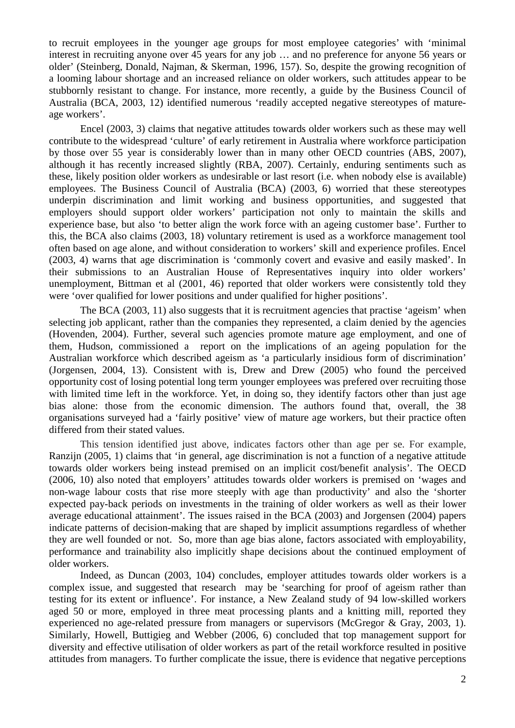to recruit employees in the younger age groups for most employee categories' with 'minimal interest in recruiting anyone over 45 years for any job … and no preference for anyone 56 years or older' (Steinberg, Donald, Najman, & Skerman, 1996, 157). So, despite the growing recognition of a looming labour shortage and an increased reliance on older workers, such attitudes appear to be stubbornly resistant to change. For instance, more recently, a guide by the Business Council of Australia (BCA, 2003, 12) identified numerous 'readily accepted negative stereotypes of matureage workers'.

Encel (2003, 3) claims that negative attitudes towards older workers such as these may well contribute to the widespread 'culture' of early retirement in Australia where workforce participation by those over 55 year is considerably lower than in many other OECD countries (ABS, 2007), although it has recently increased slightly (RBA, 2007). Certainly, enduring sentiments such as these, likely position older workers as undesirable or last resort (i.e. when nobody else is available) employees. The Business Council of Australia (BCA) (2003, 6) worried that these stereotypes underpin discrimination and limit working and business opportunities, and suggested that employers should support older workers' participation not only to maintain the skills and experience base, but also 'to better align the work force with an ageing customer base'. Further to this, the BCA also claims (2003, 18) voluntary retirement is used as a workforce management tool often based on age alone, and without consideration to workers' skill and experience profiles. Encel (2003, 4) warns that age discrimination is 'commonly covert and evasive and easily masked'. In their submissions to an Australian House of Representatives inquiry into older workers' unemployment, Bittman et al (2001, 46) reported that older workers were consistently told they were 'over qualified for lower positions and under qualified for higher positions'.

The BCA (2003, 11) also suggests that it is recruitment agencies that practise 'ageism' when selecting job applicant, rather than the companies they represented, a claim denied by the agencies (Hovenden, 2004). Further, several such agencies promote mature age employment, and one of them, Hudson, commissioned a report on the implications of an ageing population for the Australian workforce which described ageism as 'a particularly insidious form of discrimination' (Jorgensen, 2004, 13). Consistent with is, Drew and Drew (2005) who found the perceived opportunity cost of losing potential long term younger employees was prefered over recruiting those with limited time left in the workforce. Yet, in doing so, they identify factors other than just age bias alone: those from the economic dimension. The authors found that, overall, the 38 organisations surveyed had a 'fairly positive' view of mature age workers, but their practice often differed from their stated values.

This tension identified just above, indicates factors other than age per se. For example, Ranzijn (2005, 1) claims that 'in general, age discrimination is not a function of a negative attitude towards older workers being instead premised on an implicit cost/benefit analysis'. The OECD (2006, 10) also noted that employers' attitudes towards older workers is premised on 'wages and non-wage labour costs that rise more steeply with age than productivity' and also the 'shorter expected pay-back periods on investments in the training of older workers as well as their lower average educational attainment'. The issues raised in the BCA (2003) and Jorgensen (2004) papers indicate patterns of decision-making that are shaped by implicit assumptions regardless of whether they are well founded or not. So, more than age bias alone, factors associated with employability, performance and trainability also implicitly shape decisions about the continued employment of older workers.

Indeed, as Duncan (2003, 104) concludes, employer attitudes towards older workers is a complex issue, and suggested that research may be 'searching for proof of ageism rather than testing for its extent or influence'. For instance, a New Zealand study of 94 low-skilled workers aged 50 or more, employed in three meat processing plants and a knitting mill, reported they experienced no age-related pressure from managers or supervisors (McGregor & Gray, 2003, 1). Similarly, Howell, Buttigieg and Webber (2006, 6) concluded that top management support for diversity and effective utilisation of older workers as part of the retail workforce resulted in positive attitudes from managers. To further complicate the issue, there is evidence that negative perceptions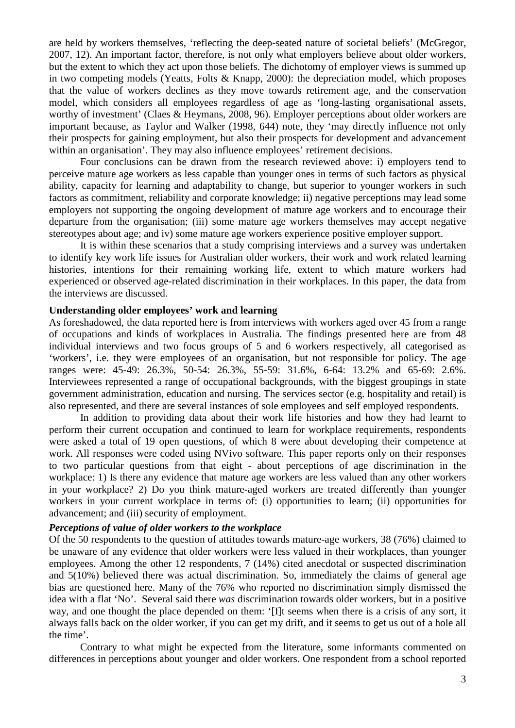are held by workers themselves, 'reflecting the deep-seated nature of societal beliefs' (McGregor, 2007, 12). An important factor, therefore, is not only what employers believe about older workers, but the extent to which they act upon those beliefs. The dichotomy of employer views is summed up in two competing models (Yeatts, Folts & Knapp, 2000): the depreciation model, which proposes that the value of workers declines as they move towards retirement age, and the conservation model, which considers all employees regardless of age as 'long-lasting organisational assets, worthy of investment' (Claes & Heymans, 2008, 96). Employer perceptions about older workers are important because, as Taylor and Walker (1998, 644) note, they 'may directly influence not only their prospects for gaining employment, but also their prospects for development and advancement within an organisation'. They may also influence employees' retirement decisions.

Four conclusions can be drawn from the research reviewed above: i) employers tend to perceive mature age workers as less capable than younger ones in terms of such factors as physical ability, capacity for learning and adaptability to change, but superior to younger workers in such factors as commitment, reliability and corporate knowledge; ii) negative perceptions may lead some employers not supporting the ongoing development of mature age workers and to encourage their departure from the organisation; (iii) some mature age workers themselves may accept negative stereotypes about age; and iv) some mature age workers experience positive employer support.

It is within these scenarios that a study comprising interviews and a survey was undertaken to identify key work life issues for Australian older workers, their work and work related learning histories, intentions for their remaining working life, extent to which mature workers had experienced or observed age-related discrimination in their workplaces. In this paper, the data from the interviews are discussed.

### **Understanding older employees' work and learning**

As foreshadowed, the data reported here is from interviews with workers aged over 45 from a range of occupations and kinds of workplaces in Australia. The findings presented here are from 48 individual interviews and two focus groups of 5 and 6 workers respectively, all categorised as 'workers', i.e. they were employees of an organisation, but not responsible for policy. The age ranges were: 45-49: 26.3%, 50-54: 26.3%, 55-59: 31.6%, 6-64: 13.2% and 65-69: 2.6%. Interviewees represented a range of occupational backgrounds, with the biggest groupings in state government administration, education and nursing. The services sector (e.g. hospitality and retail) is also represented, and there are several instances of sole employees and self employed respondents.

In addition to providing data about their work life histories and how they had learnt to perform their current occupation and continued to learn for workplace requirements, respondents were asked a total of 19 open questions, of which 8 were about developing their competence at work. All responses were coded using NVivo software. This paper reports only on their responses to two particular questions from that eight - about perceptions of age discrimination in the workplace: 1) Is there any evidence that mature age workers are less valued than any other workers in your workplace? 2) Do you think mature-aged workers are treated differently than younger workers in your current workplace in terms of: (i) opportunities to learn; (ii) opportunities for advancement; and (iii) security of employment.

### *Perceptions of value of older workers to the workplace*

Of the 50 respondents to the question of attitudes towards mature-age workers, 38 (76%) claimed to be unaware of any evidence that older workers were less valued in their workplaces, than younger employees. Among the other 12 respondents, 7 (14%) cited anecdotal or suspected discrimination and 5(10%) believed there was actual discrimination. So, immediately the claims of general age bias are questioned here. Many of the 76% who reported no discrimination simply dismissed the idea with a flat 'No'. Several said there *was* discrimination towards older workers, but in a positive way, and one thought the place depended on them: '[I]t seems when there is a crisis of any sort, it always falls back on the older worker, if you can get my drift, and it seems to get us out of a hole all the time'.

Contrary to what might be expected from the literature, some informants commented on differences in perceptions about younger and older workers. One respondent from a school reported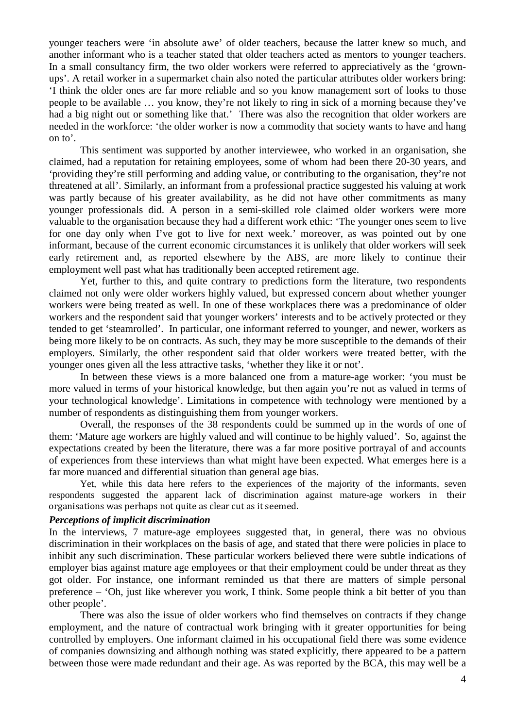younger teachers were 'in absolute awe' of older teachers, because the latter knew so much, and another informant who is a teacher stated that older teachers acted as mentors to younger teachers. In a small consultancy firm, the two older workers were referred to appreciatively as the 'grownups'. A retail worker in a supermarket chain also noted the particular attributes older workers bring: 'I think the older ones are far more reliable and so you know management sort of looks to those people to be available … you know, they're not likely to ring in sick of a morning because they've had a big night out or something like that.' There was also the recognition that older workers are needed in the workforce: 'the older worker is now a commodity that society wants to have and hang on to'.

This sentiment was supported by another interviewee, who worked in an organisation, she claimed, had a reputation for retaining employees, some of whom had been there 20-30 years, and 'providing they're still performing and adding value, or contributing to the organisation, they're not threatened at all'. Similarly, an informant from a professional practice suggested his valuing at work was partly because of his greater availability, as he did not have other commitments as many younger professionals did. A person in a semi-skilled role claimed older workers were more valuable to the organisation because they had a different work ethic: 'The younger ones seem to live for one day only when I've got to live for next week.' moreover, as was pointed out by one informant, because of the current economic circumstances it is unlikely that older workers will seek early retirement and, as reported elsewhere by the ABS, are more likely to continue their employment well past what has traditionally been accepted retirement age.

Yet, further to this, and quite contrary to predictions form the literature, two respondents claimed not only were older workers highly valued, but expressed concern about whether younger workers were being treated as well. In one of these workplaces there was a predominance of older workers and the respondent said that younger workers' interests and to be actively protected or they tended to get 'steamrolled'. In particular, one informant referred to younger, and newer, workers as being more likely to be on contracts. As such, they may be more susceptible to the demands of their employers. Similarly, the other respondent said that older workers were treated better, with the younger ones given all the less attractive tasks, 'whether they like it or not'.

In between these views is a more balanced one from a mature-age worker: 'you must be more valued in terms of your historical knowledge, but then again you're not as valued in terms of your technological knowledge'. Limitations in competence with technology were mentioned by a number of respondents as distinguishing them from younger workers.

Overall, the responses of the 38 respondents could be summed up in the words of one of them: 'Mature age workers are highly valued and will continue to be highly valued'. So, against the expectations created by been the literature, there was a far more positive portrayal of and accounts of experiences from these interviews than what might have been expected. What emerges here is a far more nuanced and differential situation than general age bias.

Yet, while this data here refers to the experiences of the majority of the informants, seven respondents suggested the apparent lack of discrimination against mature-age workers in their organisations was perhaps not quite as clear cut as it seemed.

# *Perceptions of implicit discrimination*

In the interviews, 7 mature-age employees suggested that, in general, there was no obvious discrimination in their workplaces on the basis of age, and stated that there were policies in place to inhibit any such discrimination. These particular workers believed there were subtle indications of employer bias against mature age employees or that their employment could be under threat as they got older. For instance, one informant reminded us that there are matters of simple personal preference – 'Oh, just like wherever you work, I think. Some people think a bit better of you than other people'.

There was also the issue of older workers who find themselves on contracts if they change employment, and the nature of contractual work bringing with it greater opportunities for being controlled by employers. One informant claimed in his occupational field there was some evidence of companies downsizing and although nothing was stated explicitly, there appeared to be a pattern between those were made redundant and their age. As was reported by the BCA, this may well be a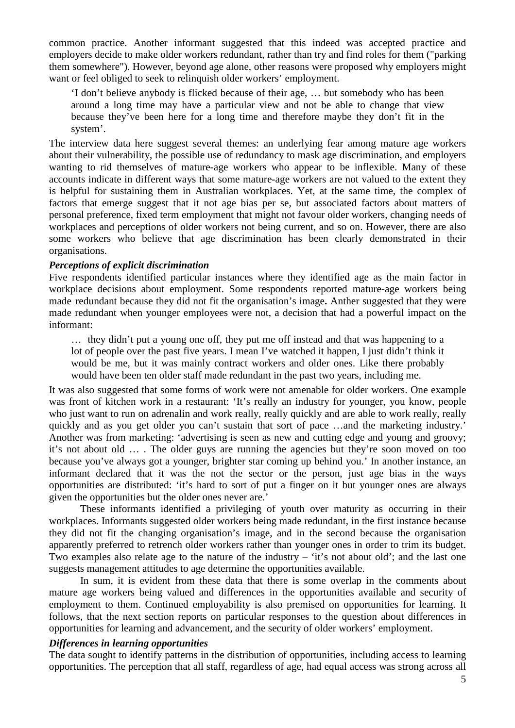common practice. Another informant suggested that this indeed was accepted practice and employers decide to make older workers redundant, rather than try and find roles for them ("parking them somewhere"). However, beyond age alone, other reasons were proposed why employers might want or feel obliged to seek to relinquish older workers' employment.

'I don't believe anybody is flicked because of their age, … but somebody who has been around a long time may have a particular view and not be able to change that view because they've been here for a long time and therefore maybe they don't fit in the system'.

The interview data here suggest several themes: an underlying fear among mature age workers about their vulnerability, the possible use of redundancy to mask age discrimination, and employers wanting to rid themselves of mature-age workers who appear to be inflexible. Many of these accounts indicate in different ways that some mature-age workers are not valued to the extent they is helpful for sustaining them in Australian workplaces. Yet, at the same time, the complex of factors that emerge suggest that it not age bias per se, but associated factors about matters of personal preference, fixed term employment that might not favour older workers, changing needs of workplaces and perceptions of older workers not being current, and so on. However, there are also some workers who believe that age discrimination has been clearly demonstrated in their organisations.

# *Perceptions of explicit discrimination*

Five respondents identified particular instances where they identified age as the main factor in workplace decisions about employment. Some respondents reported mature-age workers being made redundant because they did not fit the organisation's image**.** Anther suggested that they were made redundant when younger employees were not, a decision that had a powerful impact on the informant:

… they didn't put a young one off, they put me off instead and that was happening to a lot of people over the past five years. I mean I've watched it happen, I just didn't think it would be me, but it was mainly contract workers and older ones. Like there probably would have been ten older staff made redundant in the past two years, including me.

It was also suggested that some forms of work were not amenable for older workers. One example was front of kitchen work in a restaurant: 'It's really an industry for younger, you know, people who just want to run on adrenalin and work really, really quickly and are able to work really, really quickly and as you get older you can't sustain that sort of pace …and the marketing industry.' Another was from marketing: 'advertising is seen as new and cutting edge and young and groovy; it's not about old … . The older guys are running the agencies but they're soon moved on too because you've always got a younger, brighter star coming up behind you.' In another instance, an informant declared that it was the not the sector or the person, just age bias in the ways opportunities are distributed: 'it's hard to sort of put a finger on it but younger ones are always given the opportunities but the older ones never are.'

These informants identified a privileging of youth over maturity as occurring in their workplaces. Informants suggested older workers being made redundant, in the first instance because they did not fit the changing organisation's image, and in the second because the organisation apparently preferred to retrench older workers rather than younger ones in order to trim its budget. Two examples also relate age to the nature of the industry – 'it's not about old'; and the last one suggests management attitudes to age determine the opportunities available.

In sum, it is evident from these data that there is some overlap in the comments about mature age workers being valued and differences in the opportunities available and security of employment to them. Continued employability is also premised on opportunities for learning. It follows, that the next section reports on particular responses to the question about differences in opportunities for learning and advancement, and the security of older workers' employment.

# *Differences in learning opportunities*

The data sought to identify patterns in the distribution of opportunities, including access to learning opportunities. The perception that all staff, regardless of age, had equal access was strong across all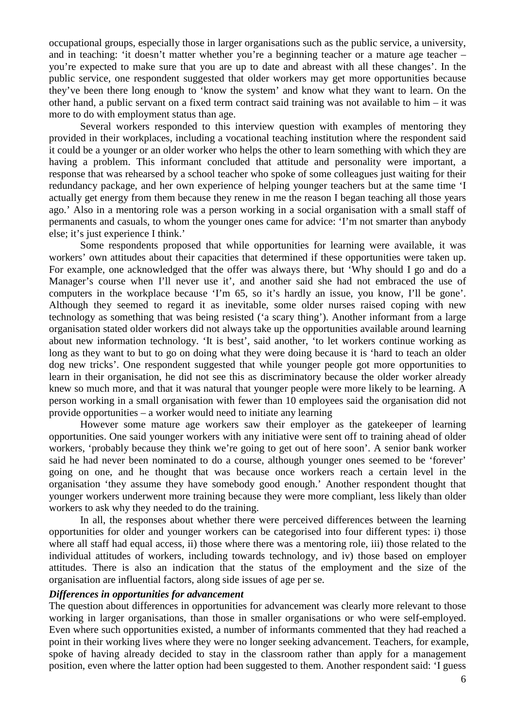occupational groups, especially those in larger organisations such as the public service, a university, and in teaching: 'it doesn't matter whether you're a beginning teacher or a mature age teacher – you're expected to make sure that you are up to date and abreast with all these changes'. In the public service, one respondent suggested that older workers may get more opportunities because they've been there long enough to 'know the system' and know what they want to learn. On the other hand, a public servant on a fixed term contract said training was not available to him – it was more to do with employment status than age.

Several workers responded to this interview question with examples of mentoring they provided in their workplaces, including a vocational teaching institution where the respondent said it could be a younger or an older worker who helps the other to learn something with which they are having a problem. This informant concluded that attitude and personality were important, a response that was rehearsed by a school teacher who spoke of some colleagues just waiting for their redundancy package, and her own experience of helping younger teachers but at the same time 'I actually get energy from them because they renew in me the reason I began teaching all those years ago.' Also in a mentoring role was a person working in a social organisation with a small staff of permanents and casuals, to whom the younger ones came for advice: 'I'm not smarter than anybody else; it's just experience I think.'

Some respondents proposed that while opportunities for learning were available, it was workers' own attitudes about their capacities that determined if these opportunities were taken up. For example, one acknowledged that the offer was always there, but 'Why should I go and do a Manager's course when I'll never use it', and another said she had not embraced the use of computers in the workplace because 'I'm 65, so it's hardly an issue, you know, I'll be gone'. Although they seemed to regard it as inevitable, some older nurses raised coping with new technology as something that was being resisted ('a scary thing'). Another informant from a large organisation stated older workers did not always take up the opportunities available around learning about new information technology. 'It is best', said another, 'to let workers continue working as long as they want to but to go on doing what they were doing because it is 'hard to teach an older dog new tricks'. One respondent suggested that while younger people got more opportunities to learn in their organisation, he did not see this as discriminatory because the older worker already knew so much more, and that it was natural that younger people were more likely to be learning. A person working in a small organisation with fewer than 10 employees said the organisation did not provide opportunities – a worker would need to initiate any learning

However some mature age workers saw their employer as the gatekeeper of learning opportunities. One said younger workers with any initiative were sent off to training ahead of older workers, 'probably because they think we're going to get out of here soon'. A senior bank worker said he had never been nominated to do a course, although younger ones seemed to be 'forever' going on one, and he thought that was because once workers reach a certain level in the organisation 'they assume they have somebody good enough.' Another respondent thought that younger workers underwent more training because they were more compliant, less likely than older workers to ask why they needed to do the training.

In all, the responses about whether there were perceived differences between the learning opportunities for older and younger workers can be categorised into four different types: i) those where all staff had equal access, ii) those where there was a mentoring role, iii) those related to the individual attitudes of workers, including towards technology, and iv) those based on employer attitudes. There is also an indication that the status of the employment and the size of the organisation are influential factors, along side issues of age per se.

# *Differences in opportunities for advancement*

The question about differences in opportunities for advancement was clearly more relevant to those working in larger organisations, than those in smaller organisations or who were self-employed. Even where such opportunities existed, a number of informants commented that they had reached a point in their working lives where they were no longer seeking advancement. Teachers, for example, spoke of having already decided to stay in the classroom rather than apply for a management position, even where the latter option had been suggested to them. Another respondent said: 'I guess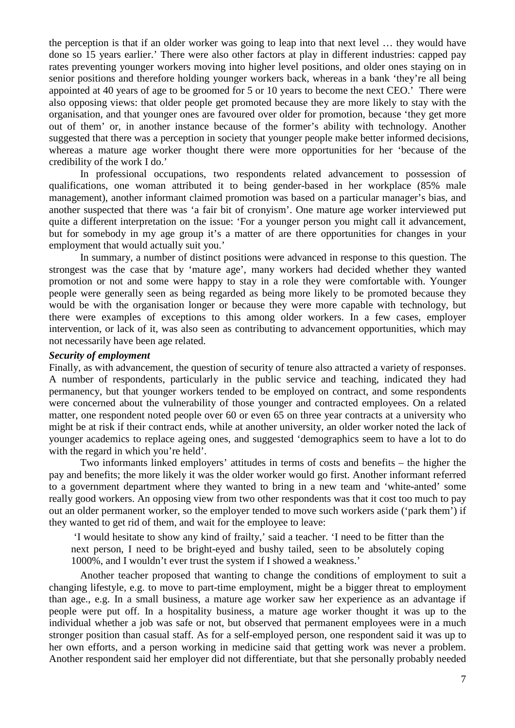the perception is that if an older worker was going to leap into that next level … they would have done so 15 years earlier.' There were also other factors at play in different industries: capped pay rates preventing younger workers moving into higher level positions, and older ones staying on in senior positions and therefore holding younger workers back, whereas in a bank 'they're all being appointed at 40 years of age to be groomed for 5 or 10 years to become the next CEO.' There were also opposing views: that older people get promoted because they are more likely to stay with the organisation, and that younger ones are favoured over older for promotion, because 'they get more out of them' or, in another instance because of the former's ability with technology. Another suggested that there was a perception in society that younger people make better informed decisions, whereas a mature age worker thought there were more opportunities for her 'because of the credibility of the work I do.'

In professional occupations, two respondents related advancement to possession of qualifications, one woman attributed it to being gender-based in her workplace (85% male management), another informant claimed promotion was based on a particular manager's bias, and another suspected that there was 'a fair bit of cronyism'. One mature age worker interviewed put quite a different interpretation on the issue: 'For a younger person you might call it advancement, but for somebody in my age group it's a matter of are there opportunities for changes in your employment that would actually suit you.'

In summary, a number of distinct positions were advanced in response to this question. The strongest was the case that by 'mature age', many workers had decided whether they wanted promotion or not and some were happy to stay in a role they were comfortable with. Younger people were generally seen as being regarded as being more likely to be promoted because they would be with the organisation longer or because they were more capable with technology, but there were examples of exceptions to this among older workers. In a few cases, employer intervention, or lack of it, was also seen as contributing to advancement opportunities, which may not necessarily have been age related.

### *Security of employment*

Finally, as with advancement, the question of security of tenure also attracted a variety of responses. A number of respondents, particularly in the public service and teaching, indicated they had permanency, but that younger workers tended to be employed on contract, and some respondents were concerned about the vulnerability of those younger and contracted employees. On a related matter, one respondent noted people over 60 or even 65 on three year contracts at a university who might be at risk if their contract ends, while at another university, an older worker noted the lack of younger academics to replace ageing ones, and suggested 'demographics seem to have a lot to do with the regard in which you're held'.

Two informants linked employers' attitudes in terms of costs and benefits – the higher the pay and benefits; the more likely it was the older worker would go first. Another informant referred to a government department where they wanted to bring in a new team and 'white-anted' some really good workers. An opposing view from two other respondents was that it cost too much to pay out an older permanent worker, so the employer tended to move such workers aside ('park them') if they wanted to get rid of them, and wait for the employee to leave:

 'I would hesitate to show any kind of frailty,' said a teacher. 'I need to be fitter than the next person, I need to be bright-eyed and bushy tailed, seen to be absolutely coping 1000%, and I wouldn't ever trust the system if I showed a weakness.'

Another teacher proposed that wanting to change the conditions of employment to suit a changing lifestyle, e.g. to move to part-time employment, might be a bigger threat to employment than age., e.g. In a small business, a mature age worker saw her experience as an advantage if people were put off. In a hospitality business, a mature age worker thought it was up to the individual whether a job was safe or not, but observed that permanent employees were in a much stronger position than casual staff. As for a self-employed person, one respondent said it was up to her own efforts, and a person working in medicine said that getting work was never a problem. Another respondent said her employer did not differentiate, but that she personally probably needed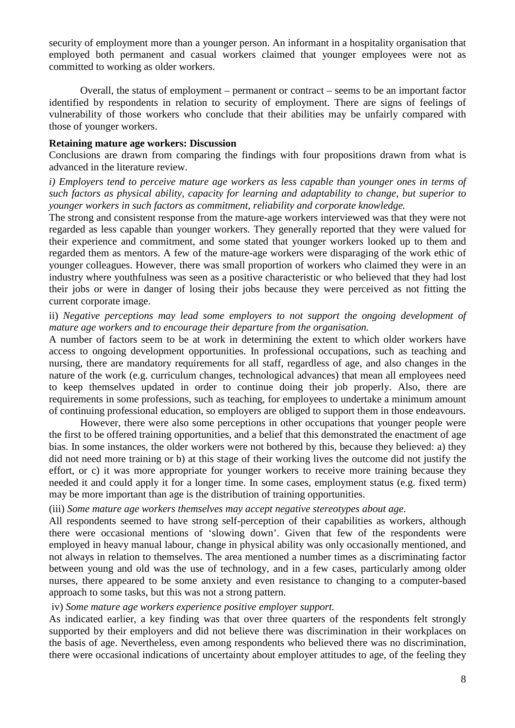security of employment more than a younger person. An informant in a hospitality organisation that employed both permanent and casual workers claimed that younger employees were not as committed to working as older workers.

Overall, the status of employment – permanent or contract – seems to be an important factor identified by respondents in relation to security of employment. There are signs of feelings of vulnerability of those workers who conclude that their abilities may be unfairly compared with those of younger workers.

### **Retaining mature age workers: Discussion**

Conclusions are drawn from comparing the findings with four propositions drawn from what is advanced in the literature review.

*i) Employers tend to perceive mature age workers as less capable than younger ones in terms of such factors as physical ability, capacity for learning and adaptability to change, but superior to younger workers in such factors as commitment, reliability and corporate knowledge.* 

The strong and consistent response from the mature-age workers interviewed was that they were not regarded as less capable than younger workers. They generally reported that they were valued for their experience and commitment, and some stated that younger workers looked up to them and regarded them as mentors. A few of the mature-age workers were disparaging of the work ethic of younger colleagues. However, there was small proportion of workers who claimed they were in an industry where youthfulness was seen as a positive characteristic or who believed that they had lost their jobs or were in danger of losing their jobs because they were perceived as not fitting the current corporate image.

# ii) *Negative perceptions may lead some employers to not support the ongoing development of mature age workers and to encourage their departure from the organisation.*

A number of factors seem to be at work in determining the extent to which older workers have access to ongoing development opportunities. In professional occupations, such as teaching and nursing, there are mandatory requirements for all staff, regardless of age, and also changes in the nature of the work (e.g. curriculum changes, technological advances) that mean all employees need to keep themselves updated in order to continue doing their job properly. Also, there are requirements in some professions, such as teaching, for employees to undertake a minimum amount of continuing professional education, so employers are obliged to support them in those endeavours.

However, there were also some perceptions in other occupations that younger people were the first to be offered training opportunities, and a belief that this demonstrated the enactment of age bias. In some instances, the older workers were not bothered by this, because they believed: a) they did not need more training or b) at this stage of their working lives the outcome did not justify the effort, or c) it was more appropriate for younger workers to receive more training because they needed it and could apply it for a longer time. In some cases, employment status (e.g. fixed term) may be more important than age is the distribution of training opportunities.

# (iii) *Some mature age workers themselves may accept negative stereotypes about age.*

All respondents seemed to have strong self-perception of their capabilities as workers, although there were occasional mentions of 'slowing down'. Given that few of the respondents were employed in heavy manual labour, change in physical ability was only occasionally mentioned, and not always in relation to themselves. The area mentioned a number times as a discriminating factor between young and old was the use of technology, and in a few cases, particularly among older nurses, there appeared to be some anxiety and even resistance to changing to a computer-based approach to some tasks, but this was not a strong pattern.

# iv) *Some mature age workers experience positive employer support.*

As indicated earlier, a key finding was that over three quarters of the respondents felt strongly supported by their employers and did not believe there was discrimination in their workplaces on the basis of age. Nevertheless, even among respondents who believed there was no discrimination, there were occasional indications of uncertainty about employer attitudes to age, of the feeling they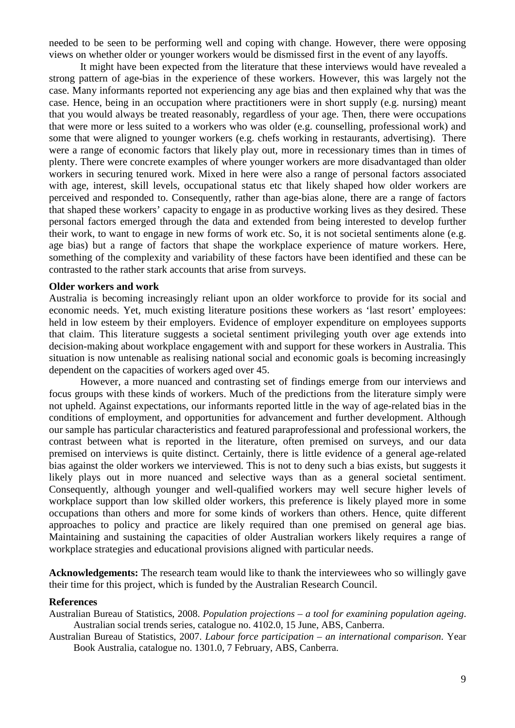needed to be seen to be performing well and coping with change. However, there were opposing views on whether older or younger workers would be dismissed first in the event of any layoffs.

It might have been expected from the literature that these interviews would have revealed a strong pattern of age-bias in the experience of these workers. However, this was largely not the case. Many informants reported not experiencing any age bias and then explained why that was the case. Hence, being in an occupation where practitioners were in short supply (e.g. nursing) meant that you would always be treated reasonably, regardless of your age. Then, there were occupations that were more or less suited to a workers who was older (e.g. counselling, professional work) and some that were aligned to younger workers (e.g. chefs working in restaurants, advertising). There were a range of economic factors that likely play out, more in recessionary times than in times of plenty. There were concrete examples of where younger workers are more disadvantaged than older workers in securing tenured work. Mixed in here were also a range of personal factors associated with age, interest, skill levels, occupational status etc that likely shaped how older workers are perceived and responded to. Consequently, rather than age-bias alone, there are a range of factors that shaped these workers' capacity to engage in as productive working lives as they desired. These personal factors emerged through the data and extended from being interested to develop further their work, to want to engage in new forms of work etc. So, it is not societal sentiments alone (e.g. age bias) but a range of factors that shape the workplace experience of mature workers. Here, something of the complexity and variability of these factors have been identified and these can be contrasted to the rather stark accounts that arise from surveys.

#### **Older workers and work**

Australia is becoming increasingly reliant upon an older workforce to provide for its social and economic needs. Yet, much existing literature positions these workers as 'last resort' employees: held in low esteem by their employers. Evidence of employer expenditure on employees supports that claim. This literature suggests a societal sentiment privileging youth over age extends into decision-making about workplace engagement with and support for these workers in Australia. This situation is now untenable as realising national social and economic goals is becoming increasingly dependent on the capacities of workers aged over 45.

However, a more nuanced and contrasting set of findings emerge from our interviews and focus groups with these kinds of workers. Much of the predictions from the literature simply were not upheld. Against expectations, our informants reported little in the way of age-related bias in the conditions of employment, and opportunities for advancement and further development. Although our sample has particular characteristics and featured paraprofessional and professional workers, the contrast between what is reported in the literature, often premised on surveys, and our data premised on interviews is quite distinct. Certainly, there is little evidence of a general age-related bias against the older workers we interviewed. This is not to deny such a bias exists, but suggests it likely plays out in more nuanced and selective ways than as a general societal sentiment. Consequently, although younger and well-qualified workers may well secure higher levels of workplace support than low skilled older workers, this preference is likely played more in some occupations than others and more for some kinds of workers than others. Hence, quite different approaches to policy and practice are likely required than one premised on general age bias. Maintaining and sustaining the capacities of older Australian workers likely requires a range of workplace strategies and educational provisions aligned with particular needs.

**Acknowledgements:** The research team would like to thank the interviewees who so willingly gave their time for this project, which is funded by the Australian Research Council.

#### **References**

- Australian Bureau of Statistics, 2008. *Population projections a tool for examining population ageing*. Australian social trends series, catalogue no. 4102.0, 15 June, ABS, Canberra.
- Australian Bureau of Statistics, 2007. *Labour force participation an international comparison*. Year Book Australia, catalogue no. 1301.0, 7 February, ABS, Canberra.